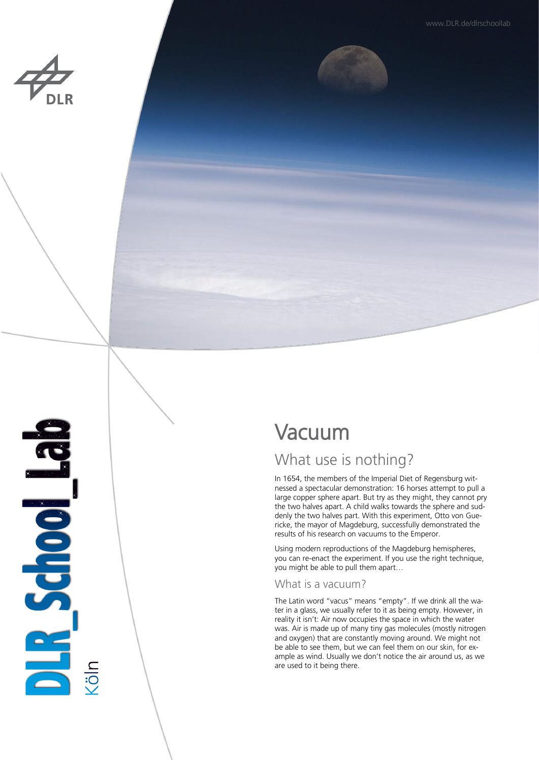**Ballischool Ballis** 

# Vacuum

## What use is nothing?

In 1654, the members of the Imperial Diet of Regensburg witnessed a spectacular demonstration: 16 horses attempt to pull a large copper sphere apart. But try as they might, they cannot pry the two halves apart. A child walks towards the sphere and suddenly the two halves part. With this experiment, Otto von Guericke, the mayor of Magdeburg, successfully demonstrated the results of his research on vacuums to the Emperor.

Using modern reproductions of the Magdeburg hemispheres, you can re-enact the experiment. If you use the right technique, you might be able to pull them apart…

## What is a vacuum?

The Latin word "vacus" means "empty". If we drink all the water in a glass, we usually refer to it as being empty. However, in reality it isn't: Air now occupies the space in which the water was. Air is made up of many tiny gas molecules (mostly nitrogen and oxygen) that are constantly moving around. We might not be able to see them, but we can feel them on our skin, for example as wind. Usually we don't notice the air around us, as we are used to it being there.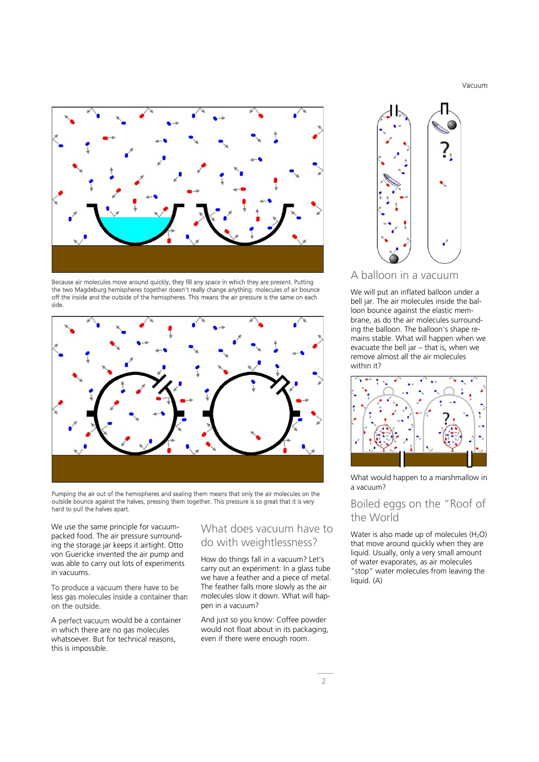Vacuum



Because air molecules move around quickly, they fill any space in which they are present. Putting the two Magdeburg hemispheres together doesn't really change anything: molecules of air bounce off the inside and the outside of the hemispheres. This means the air pressure is the same on each side.



Pumping the air out of the hemispheres and sealing them means that only the air molecules on the outside bounce against the halves, pressing them together. This pressure is so great that it is very hard to pull the halves apart.

We use the same principle for vacuumpacked food. The air pressure surrounding the storage jar keeps it airtight. Otto von Guericke invented the air pump and was able to carry out lots of experiments in vacuums.

#### To produce a vacuum there have to be less gas molecules inside a container than on the outside.

A perfect vacuum would be a container in which there are no gas molecules whatsoever. But for technical reasons, this is impossible.

## What does vacuum have to do with weightlessness?

How do things fall in a vacuum? Let's carry out an experiment: In a glass tube we have a feather and a piece of metal. The feather falls more slowly as the air molecules slow it down. What will happen in a vacuum?

And just so you know: Coffee powder would not float about in its packaging, even if there were enough room.



## A balloon in a vacuum

We will put an inflated balloon under a bell jar. The air molecules inside the balloon bounce against the elastic membrane, as do the air molecules surrounding the balloon. The balloon's shape remains stable. What will happen when we evacuate the bell jar – that is, when we remove almost all the air molecules within it?



What would happen to a marshmallow in a vacuum?

## Boiled eggs on the "Roof of the World

Water is also made up of molecules  $(H<sub>2</sub>O)$ that move around quickly when they are liquid. Usually, only a very small amount of water evaporates, as air molecules "stop" water molecules from leaving the liquid. (A)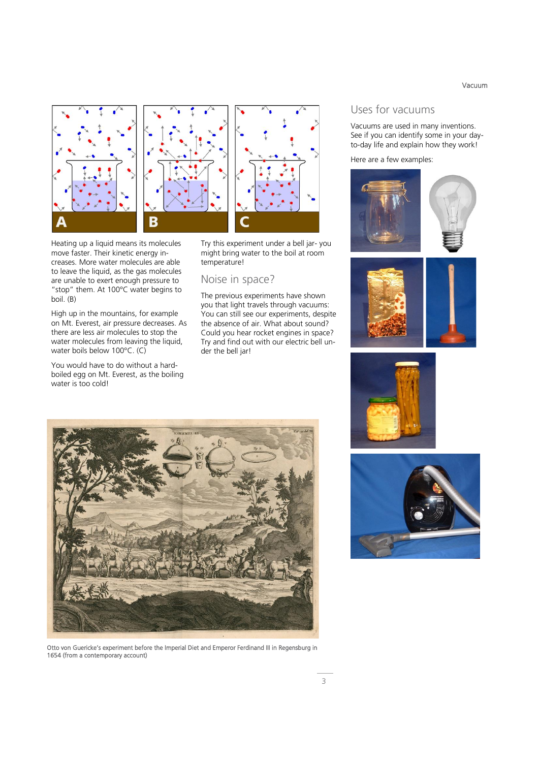Vacuum







Heating up a liquid means its molecules move faster. Their kinetic energy increases. More water molecules are able to leave the liquid, as the gas molecules are unable to exert enough pressure to "stop" them. At 100°C water begins to boil. (B)

High up in the mountains, for example on Mt. Everest, air pressure decreases. As there are less air molecules to stop the water molecules from leaving the liquid, water boils below 100°C. (C)

You would have to do without a hardboiled egg on Mt. Everest, as the boiling water is too cold!

Try this experiment under a bell jar- you might bring water to the boil at room temperature!

#### Noise in space?

The previous experiments have shown you that light travels through vacuums: You can still see our experiments, despite the absence of air. What about sound? Could you hear rocket engines in space? Try and find out with our electric bell under the bell jar!



Otto von Guericke's experiment before the Imperial Diet and Emperor Ferdinand III in Regensburg in 1654 (from a contemporary account)

## Uses for vacuums

Vacuums are used in many inventions. See if you can identify some in your dayto-day life and explain how they work!

#### Here are a few examples: